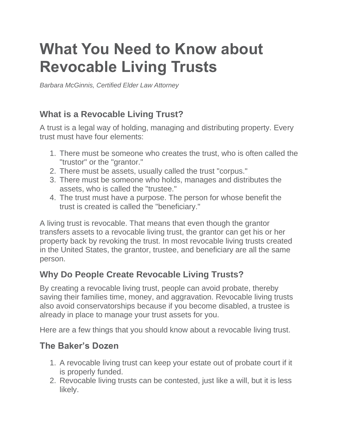# **What You Need to Know about Revocable Living Trusts**

*Barbara McGinnis, Certified Elder Law Attorney*

## **What is a Revocable Living Trust?**

A trust is a legal way of holding, managing and distributing property. Every trust must have four elements:

- 1. There must be someone who creates the trust, who is often called the "trustor" or the "grantor."
- 2. There must be assets, usually called the trust "corpus."
- 3. There must be someone who holds, manages and distributes the assets, who is called the "trustee."
- 4. The trust must have a purpose. The person for whose benefit the trust is created is called the "beneficiary."

A living trust is revocable. That means that even though the grantor transfers assets to a revocable living trust, the grantor can get his or her property back by revoking the trust. In most revocable living trusts created in the United States, the grantor, trustee, and beneficiary are all the same person.

### **Why Do People Create Revocable Living Trusts?**

By creating a revocable living trust, people can avoid probate, thereby saving their families time, money, and aggravation. Revocable living trusts also avoid conservatorships because if you become disabled, a trustee is already in place to manage your trust assets for you.

Here are a few things that you should know about a revocable living trust.

#### **The Baker's Dozen**

- 1. A revocable living trust can keep your estate out of probate court if it is properly funded.
- 2. Revocable living trusts can be contested, just like a will, but it is less likely.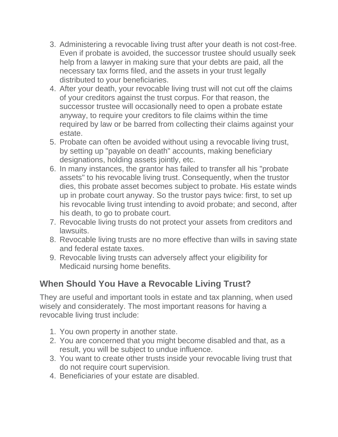- 3. Administering a revocable living trust after your death is not cost-free. Even if probate is avoided, the successor trustee should usually seek help from a lawyer in making sure that your debts are paid, all the necessary tax forms filed, and the assets in your trust legally distributed to your beneficiaries.
- 4. After your death, your revocable living trust will not cut off the claims of your creditors against the trust corpus. For that reason, the successor trustee will occasionally need to open a probate estate anyway, to require your creditors to file claims within the time required by law or be barred from collecting their claims against your estate.
- 5. Probate can often be avoided without using a revocable living trust, by setting up "payable on death" accounts, making beneficiary designations, holding assets jointly, etc.
- 6. In many instances, the grantor has failed to transfer all his "probate assets" to his revocable living trust. Consequently, when the trustor dies, this probate asset becomes subject to probate. His estate winds up in probate court anyway. So the trustor pays twice: first, to set up his revocable living trust intending to avoid probate; and second, after his death, to go to probate court.
- 7. Revocable living trusts do not protect your assets from creditors and lawsuits.
- 8. Revocable living trusts are no more effective than wills in saving state and federal estate taxes.
- 9. Revocable living trusts can adversely affect your eligibility for Medicaid nursing home benefits.

### **When Should You Have a Revocable Living Trust?**

They are useful and important tools in estate and tax planning, when used wisely and considerately. The most important reasons for having a revocable living trust include:

- 1. You own property in another state.
- 2. You are concerned that you might become disabled and that, as a result, you will be subject to undue influence.
- 3. You want to create other trusts inside your revocable living trust that do not require court supervision.
- 4. Beneficiaries of your estate are disabled.